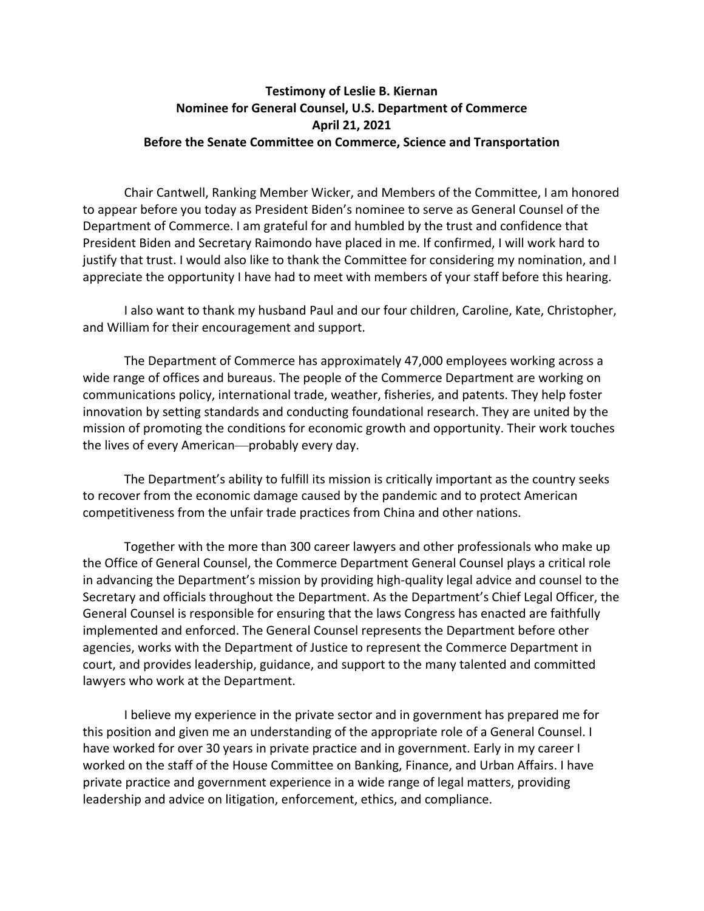## **Testimony of Leslie B. Kiernan Nominee for General Counsel, U.S. Department of Commerce April 21, 2021 Before the Senate Committee on Commerce, Science and Transportation**

Chair Cantwell, Ranking Member Wicker, and Members of the Committee, I am honored to appear before you today as President Biden's nominee to serve as General Counsel of the Department of Commerce. I am grateful for and humbled by the trust and confidence that President Biden and Secretary Raimondo have placed in me. If confirmed, I will work hard to justify that trust. I would also like to thank the Committee for considering my nomination, and I appreciate the opportunity I have had to meet with members of your staff before this hearing.

I also want to thank my husband Paul and our four children, Caroline, Kate, Christopher, and William for their encouragement and support.

The Department of Commerce has approximately 47,000 employees working across a wide range of offices and bureaus. The people of the Commerce Department are working on communications policy, international trade, weather, fisheries, and patents. They help foster innovation by setting standards and conducting foundational research. They are united by the mission of promoting the conditions for economic growth and opportunity. Their work touches the lives of every American—probably every day.

The Department's ability to fulfill its mission is critically important as the country seeks to recover from the economic damage caused by the pandemic and to protect American competitiveness from the unfair trade practices from China and other nations.

Together with the more than 300 career lawyers and other professionals who make up the Office of General Counsel, the Commerce Department General Counsel plays a critical role in advancing the Department's mission by providing high‐quality legal advice and counsel to the Secretary and officials throughout the Department. As the Department's Chief Legal Officer, the General Counsel is responsible for ensuring that the laws Congress has enacted are faithfully implemented and enforced. The General Counsel represents the Department before other agencies, works with the Department of Justice to represent the Commerce Department in court, and provides leadership, guidance, and support to the many talented and committed lawyers who work at the Department.

I believe my experience in the private sector and in government has prepared me for this position and given me an understanding of the appropriate role of a General Counsel. I have worked for over 30 years in private practice and in government. Early in my career I worked on the staff of the House Committee on Banking, Finance, and Urban Affairs. I have private practice and government experience in a wide range of legal matters, providing leadership and advice on litigation, enforcement, ethics, and compliance.